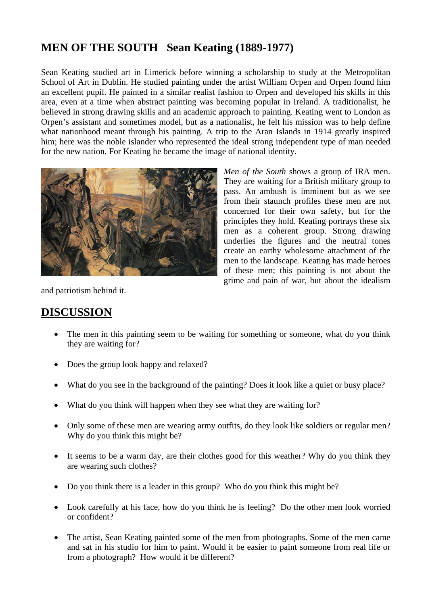## **MEN OF THE SOUTH Sean Keating (1889-1977)**

Sean Keating studied art in Limerick before winning a scholarship to study at the Metropolitan School of Art in Dublin. He studied painting under the artist William Orpen and Orpen found him an excellent pupil. He painted in a similar realist fashion to Orpen and developed his skills in this area, even at a time when abstract painting was becoming popular in Ireland. A traditionalist, he believed in strong drawing skills and an academic approach to painting. Keating went to London as Orpen's assistant and sometimes model, but as a nationalist, he felt his mission was to help define what nationhood meant through his painting. A trip to the Aran Islands in 1914 greatly inspired him; here was the noble islander who represented the ideal strong independent type of man needed for the new nation. For Keating he became the image of national identity.



*Men of the South* shows a group of IRA men. They are waiting for a British military group to pass. An ambush is imminent but as we see from their staunch profiles these men are not concerned for their own safety, but for the principles they hold. Keating portrays these six men as a coherent group. Strong drawing underlies the figures and the neutral tones create an earthy wholesome attachment of the men to the landscape. Keating has made heroes of these men; this painting is not about the grime and pain of war, but about the idealism

and patriotism behind it.

## **DISCUSSION**

- The men in this painting seem to be waiting for something or someone, what do you think they are waiting for?
- Does the group look happy and relaxed?
- What do you see in the background of the painting? Does it look like a quiet or busy place?
- What do you think will happen when they see what they are waiting for?
- Only some of these men are wearing army outfits, do they look like soldiers or regular men? Why do you think this might be?
- It seems to be a warm day, are their clothes good for this weather? Why do you think they are wearing such clothes?
- Do you think there is a leader in this group? Who do you think this might be?
- Look carefully at his face, how do you think he is feeling? Do the other men look worried or confident?
- The artist, Sean Keating painted some of the men from photographs. Some of the men came and sat in his studio for him to paint. Would it be easier to paint someone from real life or from a photograph? How would it be different?